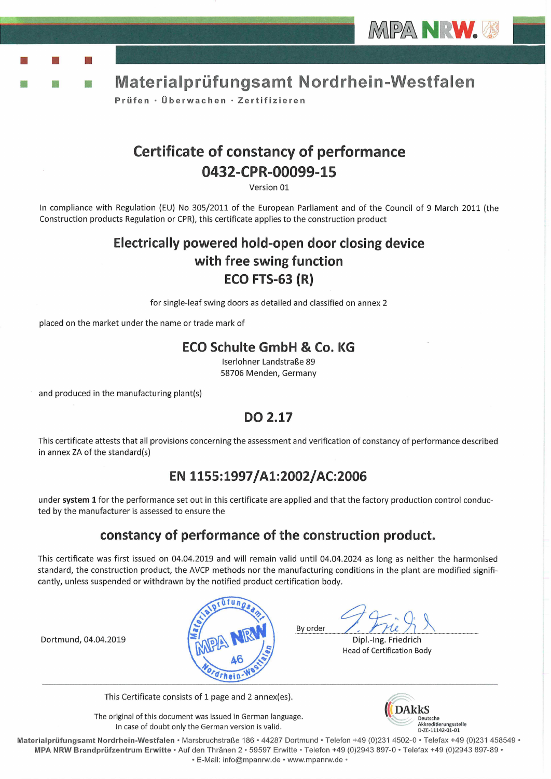



Prüfen · Überwachen · Zertifizieren

## **Certificate of constancy of performance** 0432-CPR-00099-15

Version 01

In compliance with Regulation (EU) No 305/2011 of the European Parliament and of the Council of 9 March 2011 (the Construction products Regulation or CPR), this certificate applies to the construction product

## Electrically powered hold-open door closing device with free swing function **ECO FTS-63 (R)**

for single-leaf swing doors as detailed and classified on annex 2

placed on the market under the name or trade mark of

### **ECO Schulte GmbH & Co. KG**

Iserlohner Landstraße 89 58706 Menden, Germany

and produced in the manufacturing plant(s)

조

## DO 2.17

This certificate attests that all provisions concerning the assessment and verification of constancy of performance described in annex ZA of the standard(s)

## EN 1155:1997/A1:2002/AC:2006

under system 1 for the performance set out in this certificate are applied and that the factory production control conducted by the manufacturer is assessed to ensure the

## constancy of performance of the construction product.

This certificate was first issued on 04.04.2019 and will remain valid until 04.04.2024 as long as neither the harmonised standard, the construction product, the AVCP methods nor the manufacturing conditions in the plant are modified significantly, unless suspended or withdrawn by the notified product certification body.



By order

Dipl.-Ing. Friedrich **Head of Certification Body** 

Dortmund, 04.04.2019

This Certificate consists of 1 page and 2 annex(es).

The original of this document was issued in German language. In case of doubt only the German version is valid.



Materialprüfungsamt Nordrhein-Westfalen • Marsbruchstraße 186 • 44287 Dortmund • Telefon +49 (0)231 4502-0 • Telefax +49 (0)231 458549 • MPA NRW Brandprüfzentrum Erwitte · Auf den Thränen 2 · 59597 Erwitte · Telefon +49 (0)2943 897-0 · Telefax +49 (0)2943 897-89 · · E-Mail: info@mpanrw.de · www.mpanrw.de ·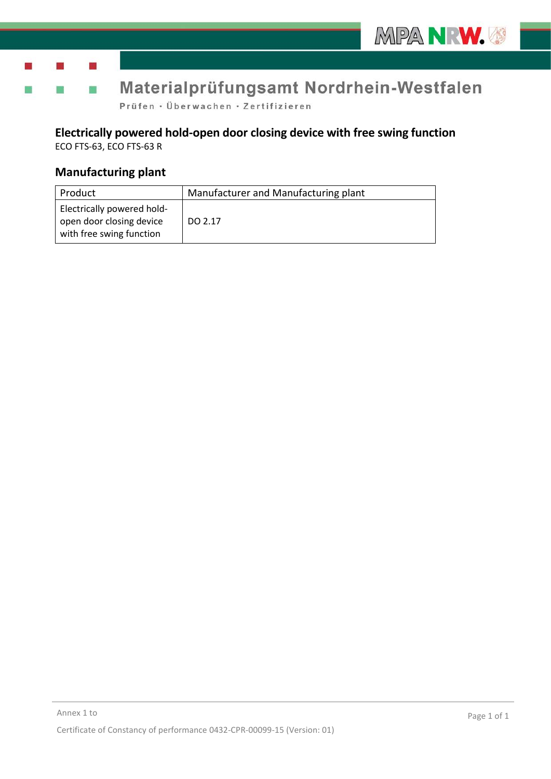

Prüfen · Überwachen · Zertifizieren

# **Electrically powered hold-open door closing device with free swing function**

ECO FTS-63, ECO FTS-63 R

### **Manufacturing plant**

| Product                                                                            | Manufacturer and Manufacturing plant |
|------------------------------------------------------------------------------------|--------------------------------------|
| Electrically powered hold-<br>open door closing device<br>with free swing function | DO 2.17                              |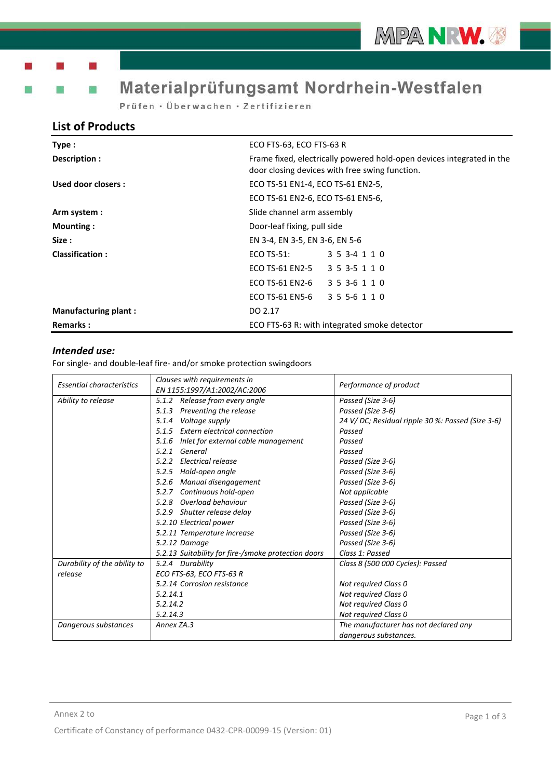Prüfen · Überwachen · Zertifizieren

### **List of Products**

| Type:                       | ECO FTS-63, ECO FTS-63 R                                                                                                |  |
|-----------------------------|-------------------------------------------------------------------------------------------------------------------------|--|
| Description :               | Frame fixed, electrically powered hold-open devices integrated in the<br>door closing devices with free swing function. |  |
| Used door closers:          | ECO TS-51 EN1-4, ECO TS-61 EN2-5,                                                                                       |  |
|                             | ECO TS-61 EN2-6, ECO TS-61 EN5-6,                                                                                       |  |
| Arm system :                | Slide channel arm assembly                                                                                              |  |
| Mounting:                   | Door-leaf fixing, pull side                                                                                             |  |
| Size :                      | EN 3-4, EN 3-5, EN 3-6, EN 5-6                                                                                          |  |
| <b>Classification:</b>      | $ECO$ TS-51:<br>3 5 3 - 4 1 1 0                                                                                         |  |
|                             | ECO TS-61 EN2-5<br>3 5 3 - 5 1 1 0                                                                                      |  |
|                             | ECO TS-61 EN2-6<br>3 5 3 - 6 1 1 0                                                                                      |  |
|                             | ECO TS-61 EN5-6<br>3 5 5 - 6 1 1 0                                                                                      |  |
| <b>Manufacturing plant:</b> | DO 2.17                                                                                                                 |  |
| <b>Remarks:</b>             | ECO FTS-63 R: with integrated smoke detector                                                                            |  |

### *Intended use:*

For single- and double-leaf fire- and/or smoke protection swingdoors

| <b>Essential characteristics</b> | Clauses with requirements in<br>EN 1155:1997/A1:2002/AC:2006 | Performance of product                           |
|----------------------------------|--------------------------------------------------------------|--------------------------------------------------|
| Ability to release               | 5.1.2 Release from every angle                               | Passed (Size 3-6)                                |
|                                  | Preventing the release<br>5.1.3                              | Passed (Size 3-6)                                |
|                                  | Voltage supply<br>5.1.4                                      | 24 V/DC; Residual ripple 30 %: Passed (Size 3-6) |
|                                  | Extern electrical connection<br>5.1.5                        | Passed                                           |
|                                  | Inlet for external cable management<br>5.1.6                 | Passed                                           |
|                                  | General<br>5.2.1                                             | Passed                                           |
|                                  | Electrical release<br>5.2.2                                  | Passed (Size 3-6)                                |
|                                  | 5.2.5 Hold-open angle                                        | Passed (Size 3-6)                                |
|                                  | 5.2.6<br>Manual disengagement                                | Passed (Size 3-6)                                |
|                                  | Continuous hold-open<br>5.2.7                                | Not applicable                                   |
|                                  | 5.2.8 Overload behaviour                                     | Passed (Size 3-6)                                |
|                                  | 5.2.9 Shutter release delay                                  | Passed (Size 3-6)                                |
|                                  | 5.2.10 Electrical power                                      | Passed (Size 3-6)                                |
|                                  | 5.2.11 Temperature increase                                  | Passed (Size 3-6)                                |
|                                  | 5.2.12 Damage                                                | Passed (Size 3-6)                                |
|                                  | 5.2.13 Suitability for fire-/smoke protection doors          | Class 1: Passed                                  |
| Durability of the ability to     | 5.2.4 Durability                                             | Class 8 (500 000 Cycles): Passed                 |
| release                          | ECO FTS-63, ECO FTS-63 R                                     |                                                  |
|                                  | 5.2.14 Corrosion resistance                                  | Not required Class 0                             |
|                                  | 5.2.14.1                                                     | Not required Class 0                             |
|                                  | 5.2.14.2                                                     | Not required Class 0                             |
|                                  | 5.2.14.3                                                     | Not required Class 0                             |
| Dangerous substances             | Annex ZA.3                                                   | The manufacturer has not declared any            |
|                                  |                                                              | dangerous substances.                            |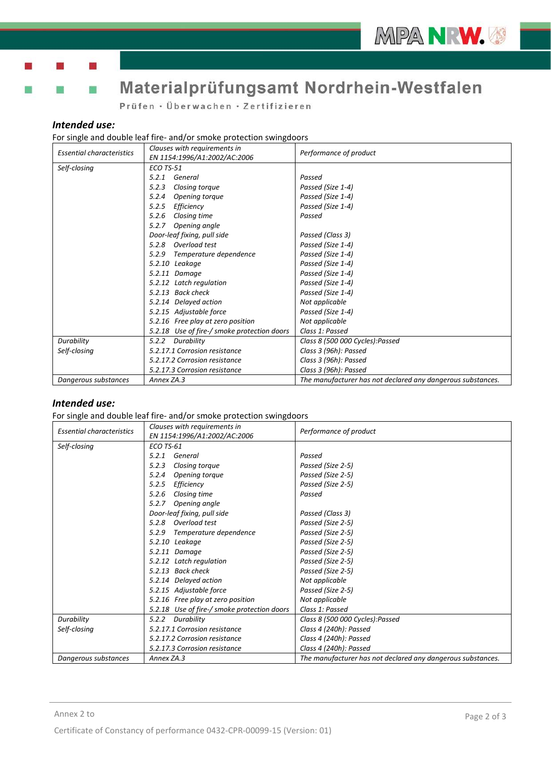

Prüfen · Überwachen · Zertifizieren

#### *Intended use:*

### For single and double leaf fire- and/or smoke protection swingdoors

| <b>Essential characteristics</b> | Clauses with requirements in<br>EN 1154:1996/A1:2002/AC:2006 | Performance of product                                      |
|----------------------------------|--------------------------------------------------------------|-------------------------------------------------------------|
| Self-closing                     | <b>ECO TS-51</b>                                             |                                                             |
|                                  | General<br>5.2.1                                             | Passed                                                      |
|                                  | 5.2.3<br>Closing torque                                      | Passed (Size 1-4)                                           |
|                                  | 5.2.4<br>Opening torque                                      | Passed (Size 1-4)                                           |
|                                  | Efficiency<br>5.2.5                                          | Passed (Size 1-4)                                           |
|                                  | Closing time<br>5.2.6                                        | Passed                                                      |
|                                  | Opening angle<br>5.2.7                                       |                                                             |
|                                  | Door-leaf fixing, pull side                                  | Passed (Class 3)                                            |
|                                  | 5.2.8 Overload test                                          | Passed (Size 1-4)                                           |
|                                  | Temperature dependence<br>5.2.9                              | Passed (Size 1-4)                                           |
|                                  | 5.2.10 Leakage                                               | Passed (Size 1-4)                                           |
|                                  | 5.2.11 Damage                                                | Passed (Size 1-4)                                           |
|                                  | 5.2.12 Latch regulation                                      | Passed (Size 1-4)                                           |
|                                  | 5.2.13 Back check                                            | Passed (Size 1-4)                                           |
|                                  | 5.2.14 Delayed action                                        | Not applicable                                              |
|                                  | 5.2.15 Adjustable force                                      | Passed (Size 1-4)                                           |
|                                  | 5.2.16 Free play at zero position                            | Not applicable                                              |
|                                  | 5.2.18 Use of fire-/ smoke protection doors                  | Class 1: Passed                                             |
| Durability                       | 5.2.2 Durability                                             | Class 8 (500 000 Cycles):Passed                             |
| Self-closing                     | 5.2.17.1 Corrosion resistance                                | Class 3 (96h): Passed                                       |
|                                  | 5.2.17.2 Corrosion resistance                                | Class 3 (96h): Passed                                       |
|                                  | 5.2.17.3 Corrosion resistance                                | Class 3 (96h): Passed                                       |
| Dangerous substances             | Annex ZA.3                                                   | The manufacturer has not declared any dangerous substances. |

### *Intended use:*

For single and double leaf fire- and/or smoke protection swingdoors

| <b>Essential characteristics</b> | Clauses with requirements in<br>EN 1154:1996/A1:2002/AC:2006 | Performance of product                                      |
|----------------------------------|--------------------------------------------------------------|-------------------------------------------------------------|
| Self-closing                     | <b>ECO TS-61</b>                                             |                                                             |
|                                  | General<br>5.2.1                                             | Passed                                                      |
|                                  | 5.2.3<br>Closing torque                                      | Passed (Size 2-5)                                           |
|                                  | 5.2.4<br>Opening torque                                      | Passed (Size 2-5)                                           |
|                                  | Efficiency<br>5.2.5                                          | Passed (Size 2-5)                                           |
|                                  | 5.2.6<br>Closing time                                        | Passed                                                      |
|                                  | Opening angle<br>5.2.7                                       |                                                             |
|                                  | Door-leaf fixing, pull side                                  | Passed (Class 3)                                            |
|                                  | 5.2.8 Overload test                                          | Passed (Size 2-5)                                           |
|                                  | Temperature dependence<br>5.2.9                              | Passed (Size 2-5)                                           |
|                                  | 5.2.10 Leakage                                               | Passed (Size 2-5)                                           |
|                                  | 5.2.11 Damage                                                | Passed (Size 2-5)                                           |
|                                  | 5.2.12 Latch regulation                                      | Passed (Size 2-5)                                           |
|                                  | 5.2.13 Back check                                            | Passed (Size 2-5)                                           |
|                                  | 5.2.14 Delayed action                                        | Not applicable                                              |
|                                  | 5.2.15 Adjustable force                                      | Passed (Size 2-5)                                           |
|                                  | 5.2.16 Free play at zero position                            | Not applicable                                              |
|                                  | 5.2.18 Use of fire-/ smoke protection doors                  | Class 1: Passed                                             |
| Durability                       | Durability<br>5.2.2                                          | Class 8 (500 000 Cycles):Passed                             |
| Self-closing                     | 5.2.17.1 Corrosion resistance                                | Class 4 (240h): Passed                                      |
|                                  | 5.2.17.2 Corrosion resistance                                | Class 4 (240h): Passed                                      |
|                                  | 5.2.17.3 Corrosion resistance                                | Class 4 (240h): Passed                                      |
| Dangerous substances             | Annex ZA.3                                                   | The manufacturer has not declared any dangerous substances. |